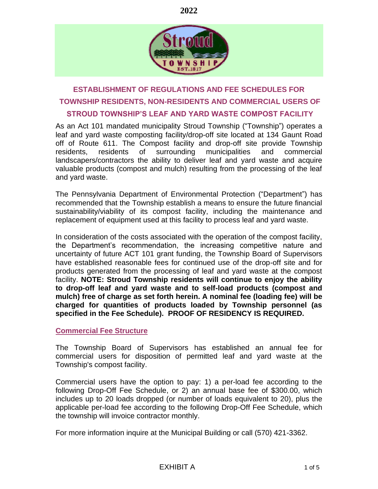



# **ESTABLISHMENT OF REGULATIONS AND FEE SCHEDULES FOR TOWNSHIP RESIDENTS, NON-RESIDENTS AND COMMERCIAL USERS OF STROUD TOWNSHIP'S LEAF AND YARD WASTE COMPOST FACILITY**

As an Act 101 mandated municipality Stroud Township ("Township") operates a leaf and yard waste composting facility/drop-off site located at 134 Gaunt Road off of Route 611. The Compost facility and drop-off site provide Township residents, residents of surrounding municipalities and commercial landscapers/contractors the ability to deliver leaf and yard waste and acquire valuable products (compost and mulch) resulting from the processing of the leaf and yard waste.

The Pennsylvania Department of Environmental Protection ("Department") has recommended that the Township establish a means to ensure the future financial sustainability/viability of its compost facility, including the maintenance and replacement of equipment used at this facility to process leaf and yard waste.

In consideration of the costs associated with the operation of the compost facility, the Department's recommendation, the increasing competitive nature and uncertainty of future ACT 101 grant funding, the Township Board of Supervisors have established reasonable fees for continued use of the drop-off site and for products generated from the processing of leaf and yard waste at the compost facility. **NOTE: Stroud Township residents will continue to enjoy the ability to drop-off leaf and yard waste and to self-load products (compost and mulch) free of charge as set forth herein. A nominal fee (loading fee) will be charged for quantities of products loaded by Township personnel (as specified in the Fee Schedule). PROOF OF RESIDENCY IS REQUIRED.**

### **Commercial Fee Structure**

The Township Board of Supervisors has established an annual fee for commercial users for disposition of permitted leaf and yard waste at the Township's compost facility.

Commercial users have the option to pay: 1) a per-load fee according to the following Drop-Off Fee Schedule, or 2) an annual base fee of \$300.00, which includes up to 20 loads dropped (or number of loads equivalent to 20), plus the applicable per-load fee according to the following Drop-Off Fee Schedule, which the township will invoice contractor monthly.

For more information inquire at the Municipal Building or call (570) 421-3362.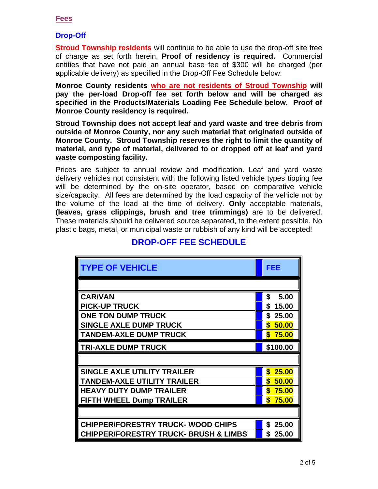### **Fees**

### **Drop-Off**

**Stroud Township residents** will continue to be able to use the drop-off site free of charge as set forth herein. **Proof of residency is required.** Commercial entities that have not paid an annual base fee of \$300 will be charged (per applicable delivery) as specified in the Drop-Off Fee Schedule below.

**Monroe County residents who are not residents of Stroud Township will pay the per-load Drop-off fee set forth below and will be charged as specified in the Products/Materials Loading Fee Schedule below. Proof of Monroe County residency is required.**

**Stroud Township does not accept leaf and yard waste and tree debris from outside of Monroe County, nor any such material that originated outside of Monroe County. Stroud Township reserves the right to limit the quantity of material, and type of material, delivered to or dropped off at leaf and yard waste composting facility.**

Prices are subject to annual review and modification. Leaf and yard waste delivery vehicles not consistent with the following listed vehicle types tipping fee will be determined by the on-site operator, based on comparative vehicle size/capacity. All fees are determined by the load capacity of the vehicle not by the volume of the load at the time of delivery. **Only** acceptable materials, **(leaves, grass clippings, brush and tree trimmings)** are to be delivered. These materials should be delivered source separated, to the extent possible. No plastic bags, metal, or municipal waste or rubbish of any kind will be accepted!

| <b>TYPE OF VEHICLE</b>                           | FEE         |
|--------------------------------------------------|-------------|
|                                                  |             |
| <b>CAR/VAN</b>                                   | \$<br>5.00  |
| <b>PICK-UP TRUCK</b>                             | \$<br>15.00 |
| <b>ONE TON DUMP TRUCK</b>                        | \$<br>25.00 |
| <b>SINGLE AXLE DUMP TRUCK</b>                    | \$50.00     |
| <b>TANDEM-AXLE DUMP TRUCK</b>                    | \$75.00     |
| <b>TRI-AXLE DUMP TRUCK</b>                       | \$100.00    |
|                                                  |             |
| <b>SINGLE AXLE UTILITY TRAILER</b>               | \$<br>25.00 |
| <b>TANDEM-AXLE UTILITY TRAILER</b>               | \$50.00     |
| <b>HEAVY DUTY DUMP TRAILER</b>                   | \$<br>75.00 |
| <b>FIFTH WHEEL Dump TRAILER</b>                  | \$<br>75.00 |
|                                                  |             |
| <b>CHIPPER/FORESTRY TRUCK- WOOD CHIPS</b>        | 25.00<br>S  |
| <b>CHIPPER/FORESTRY TRUCK- BRUSH &amp; LIMBS</b> | S<br>25.00  |

## **DROP-OFF FEE SCHEDULE**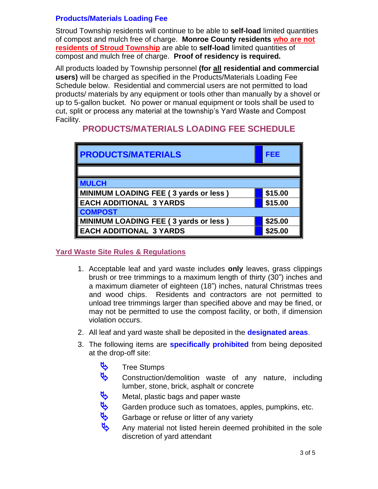### **Products/Materials Loading Fee**

Stroud Township residents will continue to be able to **self-load** limited quantities of compost and mulch free of charge. **Monroe County residents who are not residents of Stroud Township** are able to **self-load** limited quantities of compost and mulch free of charge. **Proof of residency is required.**

All products loaded by Township personnel **(for all residential and commercial users)** will be charged as specified in the Products/Materials Loading Fee Schedule below. Residential and commercial users are not permitted to load products/ materials by any equipment or tools other than manually by a shovel or up to 5-gallon bucket. No power or manual equipment or tools shall be used to cut, split or process any material at the township's Yard Waste and Compost Facility.

| <b>PRODUCTS/MATERIALS</b>             | FEE     |  |
|---------------------------------------|---------|--|
|                                       |         |  |
| <b>MULCH</b>                          |         |  |
| MINIMUM LOADING FEE (3 yards or less) | \$15.00 |  |
| <b>EACH ADDITIONAL 3 YARDS</b>        | \$15.00 |  |
| <b>COMPOST</b>                        |         |  |
| MINIMUM LOADING FEE (3 yards or less) | \$25.00 |  |
| <b>EACH ADDITIONAL 3 YARDS</b>        | \$25.00 |  |

### **PRODUCTS/MATERIALS LOADING FEE SCHEDULE**

### **Yard Waste Site Rules & Regulations**

- 1. Acceptable leaf and yard waste includes **only** leaves, grass clippings brush or tree trimmings to a maximum length of thirty (30") inches and a maximum diameter of eighteen (18") inches, natural Christmas trees and wood chips. Residents and contractors are not permitted to unload tree trimmings larger than specified above and may be fined, or may not be permitted to use the compost facility, or both, if dimension violation occurs.
- 2. All leaf and yard waste shall be deposited in the **designated areas**.
- 3. The following items are **specifically prohibited** from being deposited at the drop-off site:
	-
	- **A**<br>**Construction**/ Construction/demolition waste of any nature, including lumber, stone, brick, asphalt or concrete
		-
		- Garden produce such as tomatoes, apples, pumpkins, etc.
	- Metal, plastic bags and paper waste<br>
	Garden produce such as tomatoes, a<br>
	Garbage or refuse or litter of any variance of the contract of the contract of the contract of the contract of the contract of the contract of the co Garbage or refuse or litter of any variety
		- Any material not listed herein deemed prohibited in the sole discretion of yard attendant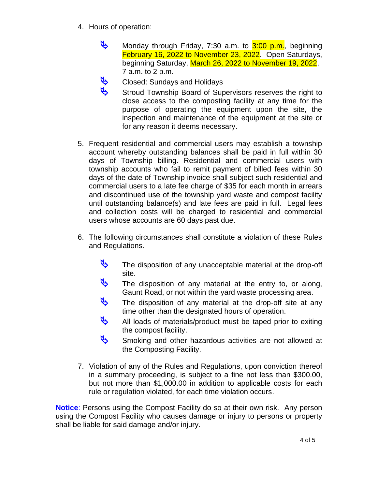- 4. Hours of operation:
	- Monday through Friday, 7:30 a.m. to  $3:00$  p.m., beginning February 16, 2022 to November 23, 2022. Open Saturdays, beginning Saturday, March 26, 2022 to November 19, 2022, 7 a.m. to 2 p.m.
	- Closed: Sundays and Holidays
	- Stroud Township Board of Supervisors reserves the right to close access to the composting facility at any time for the purpose of operating the equipment upon the site, the inspection and maintenance of the equipment at the site or for any reason it deems necessary.
- 5. Frequent residential and commercial users may establish a township account whereby outstanding balances shall be paid in full within 30 days of Township billing. Residential and commercial users with township accounts who fail to remit payment of billed fees within 30 days of the date of Township invoice shall subject such residential and commercial users to a late fee charge of \$35 for each month in arrears and discontinued use of the township yard waste and compost facility until outstanding balance(s) and late fees are paid in full. Legal fees and collection costs will be charged to residential and commercial users whose accounts are 60 days past due.
- 6. The following circumstances shall constitute a violation of these Rules and Regulations.
	- The disposition of any unacceptable material at the drop-off site.
	- The disposition of any material at the entry to, or along, Gaunt Road, or not within the yard waste processing area.
	- The disposition of any material at the drop-off site at any time other than the designated hours of operation.
	- All loads of materials/product must be taped prior to exiting the compost facility.
	- Smoking and other hazardous activities are not allowed at the Composting Facility.
- 7. Violation of any of the Rules and Regulations, upon conviction thereof in a summary proceeding, is subject to a fine not less than \$300.00, but not more than \$1,000.00 in addition to applicable costs for each rule or regulation violated, for each time violation occurs.

**Notice**: Persons using the Compost Facility do so at their own risk. Any person using the Compost Facility who causes damage or injury to persons or property shall be liable for said damage and/or injury.